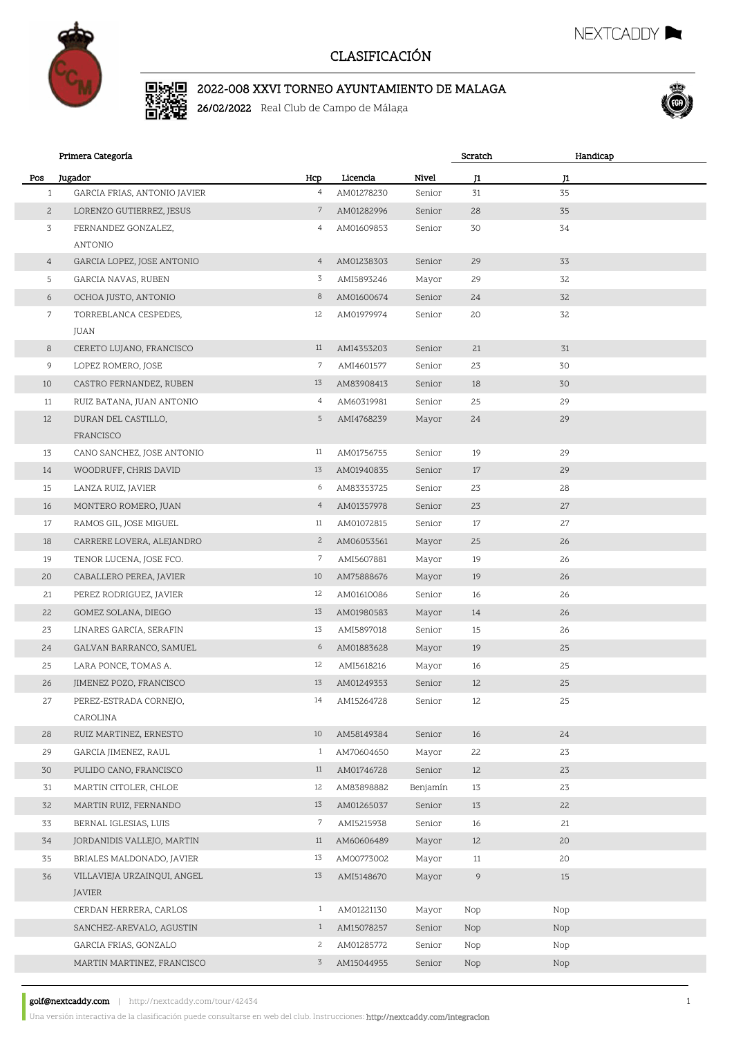

#### 2022-008 XXVI TORNEO AYUNTAMIENTO DE MALAGA

26/02/2022 Real Club de Campo de Málaga



NEXTCADDY

|                | Primera Categoría                       |                |            |          | Scratch | Handicap |  |
|----------------|-----------------------------------------|----------------|------------|----------|---------|----------|--|
| Pos            | Jugador                                 | Hcp            | Licencia   | Nivel    | J1      | J1       |  |
| $\mathbf{1}$   | GARCIA FRIAS, ANTONIO JAVIER            | $\overline{4}$ | AM01278230 | Senior   | 31      | 35       |  |
| $\mathbf{2}$   | LORENZO GUTIERREZ, JESUS                | $\mathcal{I}$  | AM01282996 | Senior   | 28      | 35       |  |
| 3              | FERNANDEZ GONZALEZ,                     | $\overline{4}$ | AM01609853 | Senior   | 30      | 34       |  |
|                | ANTONIO                                 |                |            |          |         |          |  |
| $\overline{4}$ | GARCIA LOPEZ, JOSE ANTONIO              | $\overline{4}$ | AM01238303 | Senior   | 29      | 33       |  |
| 5              | GARCIA NAVAS, RUBEN                     | 3              | AMI5893246 | Mayor    | 29      | 32       |  |
| 6              | OCHOA JUSTO, ANTONIO                    | 8              | AM01600674 | Senior   | 24      | 32       |  |
| $\overline{7}$ | TORREBLANCA CESPEDES,                   | 12             | AM01979974 | Senior   | 20      | 32       |  |
|                | JUAN                                    |                |            |          |         |          |  |
| 8              | CERETO LUJANO, FRANCISCO                | 11             | AMI4353203 | Senior   | 21      | 31       |  |
| 9              | LOPEZ ROMERO, JOSE                      | 7              | AMI4601577 | Senior   | 23      | 30       |  |
| 10             | CASTRO FERNANDEZ, RUBEN                 | 13             | AM83908413 | Senior   | 18      | 30       |  |
| 11             | RUIZ BATANA, JUAN ANTONIO               | $\overline{4}$ | AM60319981 | Senior   | 25      | 29       |  |
| 12             | DURAN DEL CASTILLO,                     | 5              | AMI4768239 | Mayor    | 24      | 29       |  |
| 13             | FRANCISCO<br>CANO SANCHEZ, JOSE ANTONIO | 11             | AM01756755 | Senior   | 19      | 29       |  |
| 14             | WOODRUFF, CHRIS DAVID                   | 13             | AM01940835 | Senior   | 17      | 29       |  |
| 15             | LANZA RUIZ, JAVIER                      | 6              | AM83353725 | Senior   | 23      | 28       |  |
| 16             | MONTERO ROMERO, JUAN                    | $\overline{4}$ | AM01357978 | Senior   | 23      | 27       |  |
| 17             | RAMOS GIL, JOSE MIGUEL                  | 11             | AM01072815 | Senior   | 17      | 27       |  |
| 18             | CARRERE LOVERA, ALEJANDRO               | $\mathbf{2}$   | AM06053561 | Mayor    | 25      | 26       |  |
| 19             | TENOR LUCENA, JOSE FCO.                 | 7              | AMI5607881 | Mayor    | 19      | 26       |  |
| 20             | CABALLERO PEREA, JAVIER                 | 10             | AM75888676 | Mayor    | 19      | 26       |  |
| 21             | PEREZ RODRIGUEZ, JAVIER                 | 12             | AM01610086 | Senior   | 16      | 26       |  |
| 22             | GOMEZ SOLANA, DIEGO                     | 13             | AM01980583 | Mayor    | 14      | 26       |  |
| 23             | LINARES GARCIA, SERAFIN                 | 13             | AMI5897018 | Senior   | 15      | 26       |  |
| 24             | GALVAN BARRANCO, SAMUEL                 | 6              | AM01883628 | Mayor    | 19      | 25       |  |
| 25             | LARA PONCE, TOMAS A.                    | 12             | AMI5618216 | Mayor    | 16      | 25       |  |
| 26             | JIMENEZ POZO, FRANCISCO                 | 13             | AM01249353 | Senior   | 12      | 25       |  |
| 27             | PEREZ-ESTRADA CORNEJO,                  | 14             | AM15264728 | Senior   | 12      | 25       |  |
|                | CAROLINA                                |                |            |          |         |          |  |
| 28             | RUIZ MARTINEZ, ERNESTO                  | 10             | AM58149384 | Senior   | 16      | 24       |  |
| 29             | GARCIA JIMENEZ, RAUL                    | $\mathbf{1}$   | AM70604650 | Mayor    | 22      | 23       |  |
| 30             | PULIDO CANO, FRANCISCO                  | 11             | AM01746728 | Senior   | 12      | 23       |  |
| 31             | MARTIN CITOLER, CHLOE                   | 12             | AM83898882 | Benjamín | 13      | 23       |  |
| 32             | MARTIN RUIZ, FERNANDO                   | 13             | AM01265037 | Senior   | 13      | 22       |  |
| 33             | BERNAL IGLESIAS, LUIS                   | 7              | AMI5215938 | Senior   | 16      | 21       |  |
| 34             | JORDANIDIS VALLEJO, MARTIN              | 11             | AM60606489 | Mayor    | 12      | 20       |  |
| 35             | BRIALES MALDONADO, JAVIER               | 13             | AM00773002 | Mayor    | 11      | 20       |  |
| 36             | VILLAVIEJA URZAINQUI, ANGEL<br>JAVIER   | 13             | AMI5148670 | Mayor    | 9       | 15       |  |
|                | CERDAN HERRERA, CARLOS                  | $\mathbf{1}$   | AM01221130 | Mayor    | Nop     | Nop      |  |
|                | SANCHEZ-AREVALO, AGUSTIN                | $\mathbf{1}$   | AM15078257 | Senior   | Nop     | Nop      |  |
|                | GARCIA FRIAS, GONZALO                   | $\overline{c}$ | AM01285772 | Senior   | Nop     | Nop      |  |
|                | MARTIN MARTINEZ, FRANCISCO              | 3              | AM15044955 | Senior   | Nop     | Nop      |  |
|                |                                         |                |            |          |         |          |  |

golf@nextcaddy.com | http://nextcaddy.com/tour/42434 1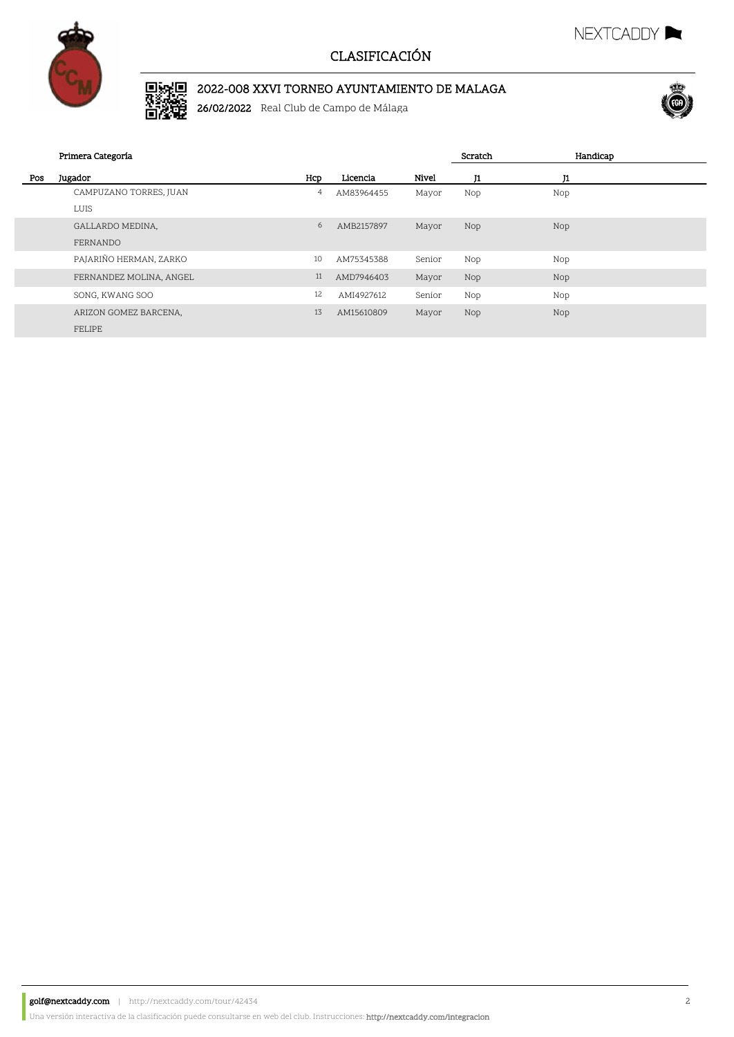

# 2022-008 XXVI TORNEO AYUNTAMIENTO DE MALAGA

26/02/2022 Real Club de Campo de Málaga



NEXTCADDY **NEXTCADDY** 

|     | Primera Categoría       |     |            |        | Scratch | Handicap |  |
|-----|-------------------------|-----|------------|--------|---------|----------|--|
| Pos | Jugador                 | Hcp | Licencia   | Nivel  | J1      | J1       |  |
|     | CAMPUZANO TORRES, JUAN  | 4   | AM83964455 | Mayor  | Nop     | Nop      |  |
|     | LUIS                    |     |            |        |         |          |  |
|     | GALLARDO MEDINA,        | 6   | AMB2157897 | Mayor  | Nop     | Nop      |  |
|     | FERNANDO                |     |            |        |         |          |  |
|     | PAJARIÑO HERMAN, ZARKO  | 10  | AM75345388 | Senior | Nop     | Nop      |  |
|     | FERNANDEZ MOLINA, ANGEL | 11  | AMD7946403 | Mayor  | Nop     | Nop      |  |
|     | SONG, KWANG SOO         | 12  | AMI4927612 | Senior | Nop     | Nop      |  |
|     | ARIZON GOMEZ BARCENA,   | 13  | AM15610809 | Mayor  | Nop     | Nop      |  |
|     | FELIPE                  |     |            |        |         |          |  |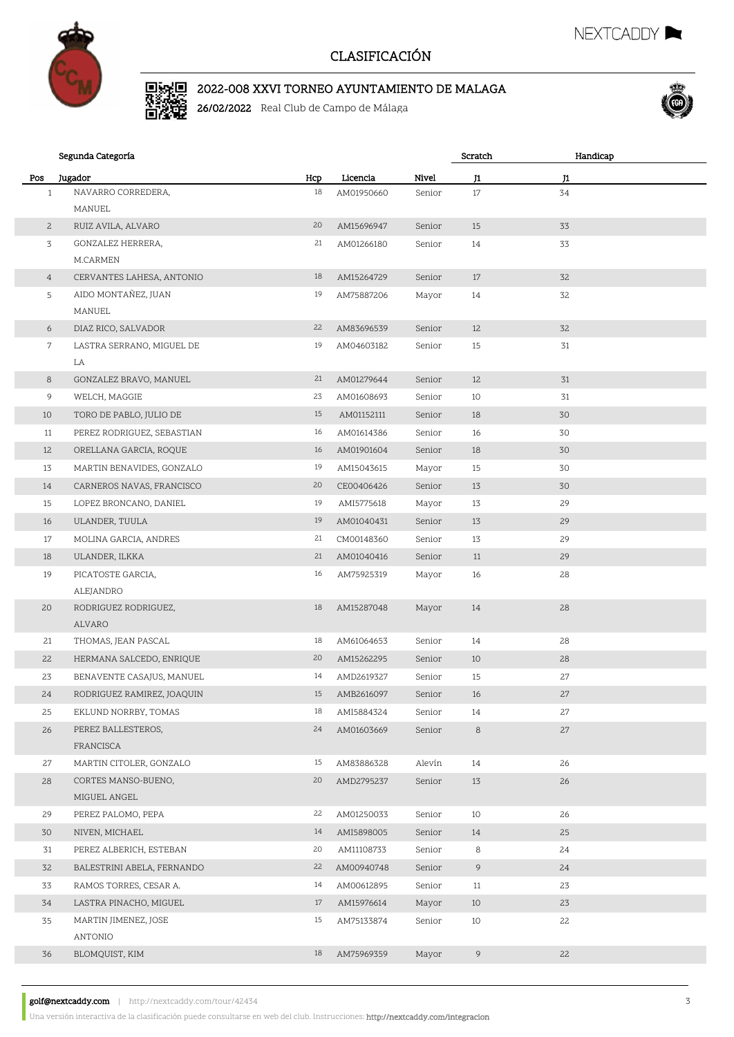

#### 2022-008 XXVI TORNEO AYUNTAMIENTO DE MALAGA

26/02/2022 Real Club de Campo de Málaga



NEXTCADDY

|                | Segunda Categoría                   |     |            |        | Scratch       | Handicap |  |
|----------------|-------------------------------------|-----|------------|--------|---------------|----------|--|
| Pos            | Jugador                             | Hcp | Licencia   | Nivel  | $\mathbf{J1}$ | J1       |  |
| $\mathbf{1}$   | NAVARRO CORREDERA,                  | 18  | AM01950660 | Senior | $17\,$        | 34       |  |
|                | MANUEL                              |     |            |        |               |          |  |
| $\mathbf{2}$   | RUIZ AVILA, ALVARO                  | 20  | AM15696947 | Senior | 15            | 33       |  |
| 3              | GONZALEZ HERRERA,                   | 21  | AM01266180 | Senior | 14            | 33       |  |
|                | M.CARMEN                            |     |            |        |               |          |  |
| $\overline{4}$ | CERVANTES LAHESA, ANTONIO           | 18  | AM15264729 | Senior | 17            | 32       |  |
| 5              | AIDO MONTAÑEZ, JUAN<br>MANUEL       | 19  | AM75887206 | Mayor  | 14            | 32       |  |
| 6              | DIAZ RICO, SALVADOR                 | 22  | AM83696539 | Senior | 12            | 32       |  |
| 7              | LASTRA SERRANO, MIGUEL DE           | 19  | AM04603182 | Senior | 15            | 31       |  |
|                | LA                                  |     |            |        |               |          |  |
| 8              | GONZALEZ BRAVO, MANUEL              | 21  | AM01279644 | Senior | 12            | 31       |  |
| 9              | WELCH, MAGGIE                       | 23  | AM01608693 | Senior | 10            | 31       |  |
| 10             | TORO DE PABLO, JULIO DE             | 15  | AM01152111 | Senior | 18            | 30       |  |
| 11             | PEREZ RODRIGUEZ, SEBASTIAN          | 16  | AM01614386 | Senior | 16            | 30       |  |
| 12             | ORELLANA GARCIA, ROQUE              | 16  | AM01901604 | Senior | 18            | 30       |  |
| 13             | MARTIN BENAVIDES, GONZALO           | 19  | AM15043615 | Mayor  | 15            | 30       |  |
| 14             | CARNEROS NAVAS, FRANCISCO           | 20  | CE00406426 | Senior | 13            | 30       |  |
| 15             | LOPEZ BRONCANO, DANIEL              | 19  | AMI5775618 | Mayor  | 13            | 29       |  |
| 16             | ULANDER, TUULA                      | 19  | AM01040431 | Senior | 13            | 29       |  |
| 17             | MOLINA GARCIA, ANDRES               | 21  | CM00148360 | Senior | 13            | 29       |  |
| 18             | ULANDER, ILKKA                      | 21  | AM01040416 | Senior | 11            | 29       |  |
| 19             | PICATOSTE GARCIA,                   | 16  | AM75925319 | Mayor  | 16            | 28       |  |
|                | ALEJANDRO                           |     |            |        |               |          |  |
| 20             | RODRIGUEZ RODRIGUEZ,<br>ALVARO      | 18  | AM15287048 | Mayor  | 14            | 28       |  |
| 21             | THOMAS, JEAN PASCAL                 | 18  | AM61064653 | Senior | 14            | 28       |  |
| 22             | HERMANA SALCEDO, ENRIQUE            | 20  | AM15262295 | Senior | 10            | 28       |  |
| 23             | BENAVENTE CASAJUS, MANUEL           | 14  | AMD2619327 | Senior | 15            | 27       |  |
| 24             | RODRIGUEZ RAMIREZ, JOAQUIN          | 15  | AMB2616097 | Senior | 16            | 27       |  |
| 25             | EKLUND NORRBY, TOMAS                | 18  | AMI5884324 | Senior | 14            | 27       |  |
| 26             | PEREZ BALLESTEROS,<br>FRANCISCA     | 24  | AM01603669 | Senior | 8             | 27       |  |
| 27             | MARTIN CITOLER, GONZALO             | 15  | AM83886328 | Alevín | 14            | 26       |  |
| 28             | CORTES MANSO-BUENO,<br>MIGUEL ANGEL | 20  | AMD2795237 | Senior | 13            | 26       |  |
| 29             | PEREZ PALOMO, PEPA                  | 22  | AM01250033 | Senior | 10            | 26       |  |
| 30             | NIVEN, MICHAEL                      | 14  | AMI5898005 | Senior | 14            | 25       |  |
| 31             | PEREZ ALBERICH, ESTEBAN             | 20  | AM11108733 | Senior | 8             | 24       |  |
| 32             | BALESTRINI ABELA, FERNANDO          | 22  | AM00940748 | Senior | 9             | 24       |  |
| 33             | RAMOS TORRES, CESAR A.              | 14  | AM00612895 | Senior | 11            | 23       |  |
| 34             | LASTRA PINACHO, MIGUEL              | 17  | AM15976614 | Mayor  | 10            | 23       |  |
| 35             | MARTIN JIMENEZ, JOSE                | 15  | AM75133874 | Senior | 10            | 22       |  |
|                | ANTONIO                             |     |            |        |               |          |  |
| 36             | BLOMQUIST, KIM                      | 18  | AM75969359 | Mayor  | 9             | 22       |  |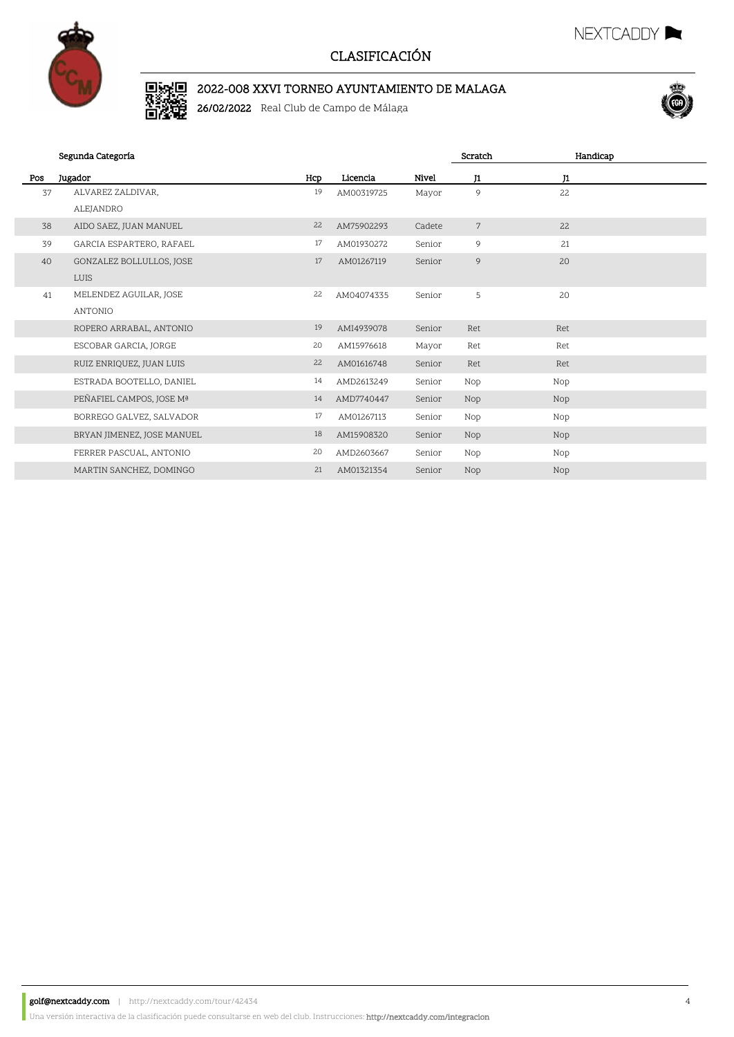

## 2022-008 XXVI TORNEO AYUNTAMIENTO DE MALAGA

26/02/2022 Real Club de Campo de Málaga



NEXTCADDY

|     | Segunda Categoría          |     |            |        | Scratch        | Handicap |  |
|-----|----------------------------|-----|------------|--------|----------------|----------|--|
| Pos | Jugador                    | Hcp | Licencia   | Nivel  | J1             | J1       |  |
| 37  | ALVAREZ ZALDIVAR,          | 19  | AM00319725 | Mayor  | 9              | 22       |  |
|     | ALEJANDRO                  |     |            |        |                |          |  |
| 38  | AIDO SAEZ, JUAN MANUEL     | 22  | AM75902293 | Cadete | $\overline{7}$ | 22       |  |
| 39  | GARCIA ESPARTERO, RAFAEL   | 17  | AM01930272 | Senior | 9              | 21       |  |
| 40  | GONZALEZ BOLLULLOS, JOSE   | 17  | AM01267119 | Senior | 9              | 20       |  |
|     | <b>LUIS</b>                |     |            |        |                |          |  |
| 41  | MELENDEZ AGUILAR, JOSE     | 22  | AM04074335 | Senior | 5              | 20       |  |
|     | ANTONIO                    |     |            |        |                |          |  |
|     | ROPERO ARRABAL, ANTONIO    | 19  | AMI4939078 | Senior | Ret            | Ret      |  |
|     | ESCOBAR GARCIA, JORGE      | 20  | AM15976618 | Mayor  | Ret            | Ret      |  |
|     | RUIZ ENRIQUEZ, JUAN LUIS   | 22  | AM01616748 | Senior | Ret            | Ret      |  |
|     | ESTRADA BOOTELLO, DANIEL   | 14  | AMD2613249 | Senior | Nop            | Nop      |  |
|     | PEÑAFIEL CAMPOS, JOSE Mª   | 14  | AMD7740447 | Senior | <b>Nop</b>     | Nop      |  |
|     | BORREGO GALVEZ, SALVADOR   | 17  | AM01267113 | Senior | Nop            | Nop      |  |
|     | BRYAN JIMENEZ, JOSE MANUEL | 18  | AM15908320 | Senior | Nop            | Nop      |  |
|     | FERRER PASCUAL, ANTONIO    | 20  | AMD2603667 | Senior | Nop            | Nop      |  |
|     | MARTIN SANCHEZ, DOMINGO    | 21  | AM01321354 | Senior | <b>Nop</b>     | Nop      |  |